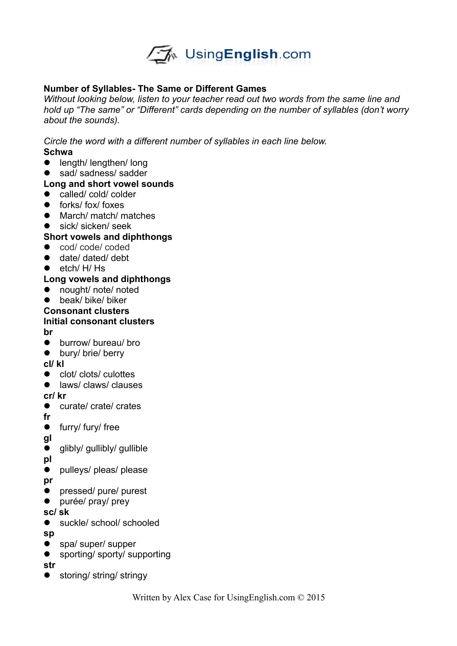

#### **Number of Syllables- The Same or Different Games**

*Without looking below, listen to your teacher read out two words from the same line and hold up "The same" or "Different" cards depending on the number of syllables (don't worry about the sounds).* 

*Circle the word with a different number of syllables in each line below.*  **Schwa**

- length/ lengthen/ long
- sad/ sadness/ sadder

#### **Long and short vowel sounds**

- called/ cold/ colder
- **•** forks/ fox/ foxes
- March/ match/ matches
- sick/ sicken/ seek

#### **Short vowels and diphthongs**

- cod/ code/ coded
- date/ dated/ debt
- $\bullet$  etch/ H/ Hs

#### **Long vowels and diphthongs**

- nought/ note/ noted
- beak/ bike/ biker

# **Consonant clusters Initial consonant clusters**

**br**

- **•** burrow/ bureau/ bro
- bury/ brie/ berry

#### **cl/ kl**

- clot/ clots/ culottes
- **e** laws/ claws/ clauses

#### **cr/ kr**

- curate/ crate/ crates
- **fr**
- **•** furry/ fury/ free
- **gl**
- glibly/ gullibly/ gullible
- **pl**
- pulleys/ pleas/ please
- **pr**
- **•** pressed/ pure/ purest
- purée/ pray/ prey

#### **sc/ sk**

- suckle/ school/ schooled
- **sp**
- spa/ super/ supper
- sporting/ sporty/ supporting

**str**

● storing/ string/ stringy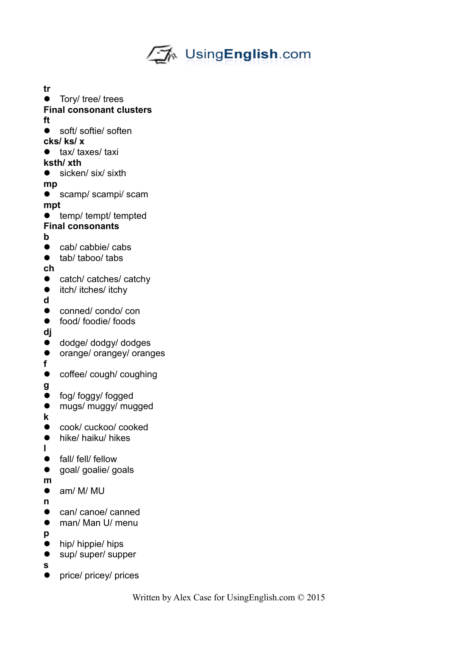

- **tr •** Tory/ tree/ trees **Final consonant clusters ft** ● soft/ softie/ soften **cks/ ks/ x** • tax/ taxes/ taxi **ksth/ xth** ● sicken/ six/ sixth **mp** scamp/ scampi/ scam **mpt**  • temp/ tempt/ tempted **Final consonants b** ● cab/ cabbie/ cabs ● tab/ taboo/ tabs **ch** • catch/ catches/ catchy • itch/ itches/ itchy **d** ● conned/ condo/ con food/ foodie/ foods **dj** dodge/ dodgy/ dodges **•** orange/ orangey/ oranges **f** • coffee/ cough/ coughing **g** • fog/ foggy/ fogged • mugs/ muggy/ mugged **k** ● cook/ cuckoo/ cooked • hike/ haiku/ hikes **l** • fall/ fell/ fellow • goal/ goalie/ goals **m** am/ M/ MU **n** • can/ canoe/ canned ● man/ Man U/ menu **p** • hip/ hippie/ hips ● sup/ super/ supper **s**
- price/ pricey/ prices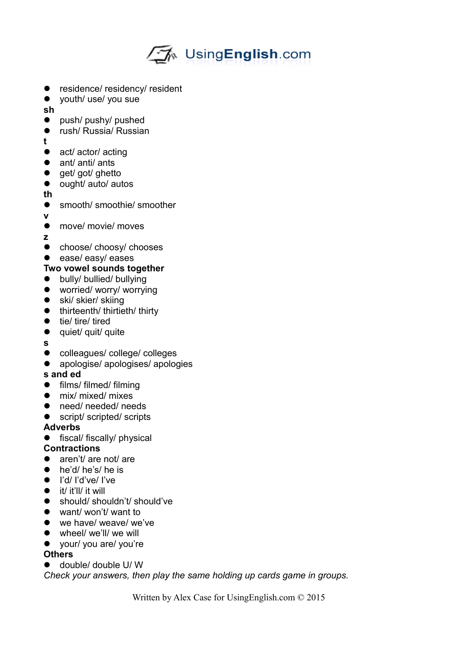

- **•** residence/ residency/ resident
- youth/ use/ you sue

**sh**

- push/ pushy/ pushed
- rush/ Russia/ Russian
- **t**
- act/ actor/ acting
- ant/ anti/ ants
- get/ got/ ghetto
- ought/ auto/ autos
- **th**
- smooth/ smoothie/ smoother
- **v**
- move/ movie/ moves
- **z**
- **•** choose/ choosy/ chooses
- ease/ easy/ eases

# **Two vowel sounds together**

- **•** bully/ bullied/ bullying
- worried/ worry/ worrying
- ski/ skier/ skiing
- thirteenth/ thirtieth/ thirty
- $\bullet$  tie/ tire/ tired
- quiet/ quit/ quite
- **s**
- colleagues/ college/ colleges
- apologise/ apologises/ apologies

# **s and ed**

- films/ filmed/ filming
- mix/ mixed/ mixes
- need/ needed/ needs
- script/ scripted/ scripts

#### **Adverbs**

**•** fiscal/ fiscally/ physical

#### **Contractions**

- aren't/ are not/ are
- he'd/ he's/ he is
- I'd/ I'd've/ I've
- $\bullet$  it/ it'll/ it will
- should/ shouldn't/ should've
- want/ won't/ want to
- we have/ weave/ we've
- wheel/ we'll/ we will
- your/ you are/ you're

#### **Others**

double/ double U/ W

*Check your answers, then play the same holding up cards game in groups.*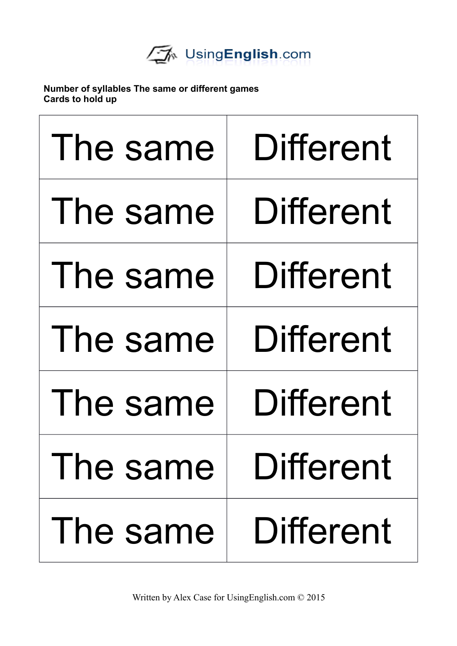

**Number of syllables The same or different games Cards to hold up**

| The same    | <b>Different</b> |
|-------------|------------------|
| The same    | Different        |
| The same    | Different        |
| The same    | <b>Different</b> |
| The same    | Different        |
| I he same I | Different        |
| The same I  | <b>Different</b> |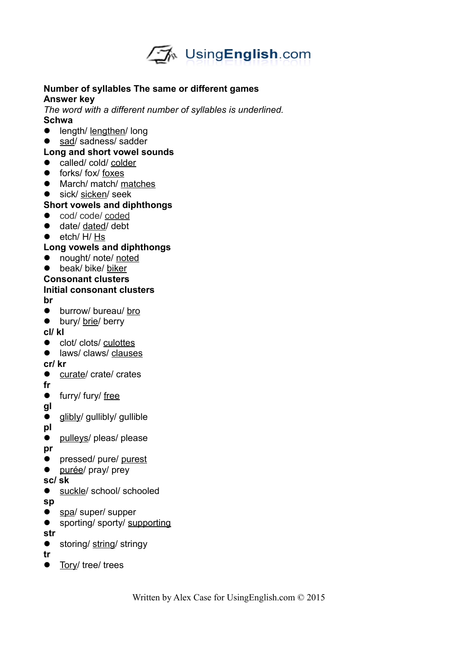

#### **Number of syllables The same or different games Answer key**

*The word with a different number of syllables is underlined.*  **Schwa**

- **•** length/ lengthen/ long
- sad/ sadness/ sadder

#### **Long and short vowel sounds**

- called/ cold/ colder
- **•** forks/ fox/ foxes
- March/ match/ matches
- sick/ sicken/ seek

#### **Short vowels and diphthongs**

- cod/ code/ coded
- date/ dated/ debt
- $e$  etch/ H/ Hs

#### **Long vowels and diphthongs**

- nought/ note/ noted
- beak/ bike/ biker
- **Consonant clusters**

# **Initial consonant clusters**

**br**

- **•** burrow/ bureau/ bro
- bury/ brie/ berry

**cl/ kl**

- clot/ clots/ culottes
- **e** laws/ claws/ clauses

#### **cr/ kr**

- curate/ crate/ crates
- **fr**
- **•** furry/ fury/ free
- **gl**
- **•** glibly/ gullibly/ gullible
- **pl**
- pulleys/ pleas/ please

**pr**

- **•** pressed/ pure/ purest
- purée/ pray/ prey
- **sc/ sk**
- suckle/ school/ schooled

**sp**

- spa/ super/ supper
- **•** sporting/ sporty/ supporting

**str**

● storing/ string/ stringy

**tr**

• Tory/ tree/ trees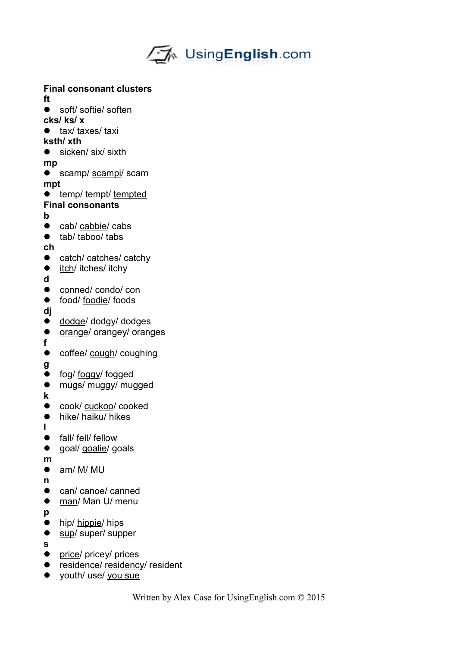

#### **Final consonant clusters**

**ft**

- soft/ softie/ soften
- **cks/ ks/ x**
- tax/ taxes/ taxi

# **ksth/ xth**

● sicken/ six/ sixth

**mp**

- **•** scamp/ scampi/ scam **mpt**
- **•** temp/ tempt/ tempted

# **Final consonants**

- **b**
- cab/ cabbie/ cabs
- tab/ taboo/ tabs

**ch**

- catch/ catches/ catchy
- itch/ itches/ itchy
- **d**
- conned/ condo/ con
- food/ foodie/ foods
- **dj**
- $\bullet$  dodge/ dodgy/ dodges
- $\bullet$  orange/ orangey/ oranges
- **f**
- coffee/ cough/ coughing

**g**

- fog/ foggy/ fogged
- $\bullet$  mugs/ muggy/ mugged
- **k**
- **cook/** cuckoo/ cooked
- hike/ haiku/ hikes
- **l** • fall/ fell/ fellow
- **q** goal/ goalie/ goals

**m**

- am/ M/ MU
- **n**
- can/ canoe/ canned
- man/ Man U/ menu
- **p**
- hip/ hippie/ hips
- sup/ super/ supper
- **s**
- price/ pricey/ prices
- **•** residence/ residency/ resident
- youth/ use/ you sue